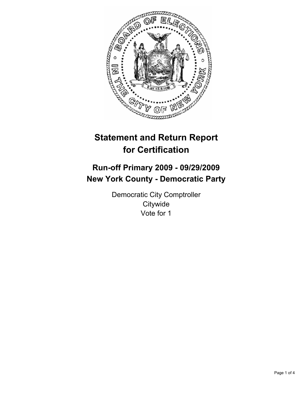

# **Statement and Return Report for Certification**

# **Run-off Primary 2009 - 09/29/2009 New York County - Democratic Party**

Democratic City Comptroller **Citywide** Vote for 1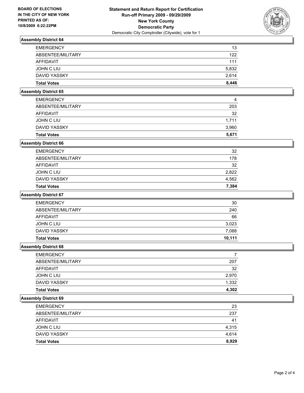

# **Assembly District 64**

| <b>Total Votes</b> | 8.446 |
|--------------------|-------|
| DAVID YASSKY       | 2.614 |
| JOHN C LIU         | 5,832 |
| AFFIDAVIT          | 111   |
| ABSENTEE/MILITARY  | 122   |
| <b>EMERGENCY</b>   | 13    |

# **Assembly District 65**

| <b>Total Votes</b> | 5.671 |
|--------------------|-------|
| DAVID YASSKY       | 3,960 |
| JOHN C LIU         | 1.711 |
| AFFIDAVIT          | 32    |
| ABSENTEE/MILITARY  | 203   |
| <b>EMERGENCY</b>   | 4     |

## **Assembly District 66**

| <b>Total Votes</b> | 7.384 |
|--------------------|-------|
| DAVID YASSKY       | 4,562 |
| JOHN C LIU         | 2,822 |
| AFFIDAVIT          | 32    |
| ABSENTEE/MILITARY  | 178   |
| <b>EMERGENCY</b>   | 32    |

## **Assembly District 67**

| <b>Total Votes</b> | 10.111 |
|--------------------|--------|
| DAVID YASSKY       | 7,088  |
| JOHN C LIU         | 3,023  |
| AFFIDAVIT          | 66     |
| ABSENTEE/MILITARY  | 240    |
| <b>EMERGENCY</b>   | 30     |

### **Assembly District 68**

| <b>EMERGENCY</b>    |       |
|---------------------|-------|
| ABSENTEE/MILITARY   | 207   |
| <b>AFFIDAVIT</b>    | 32    |
| JOHN C LIU          | 2,970 |
| <b>DAVID YASSKY</b> | 1,332 |
| <b>Total Votes</b>  | 4.302 |

#### **Assembly District 69**

| <b>Total Votes</b> | 8.929 |
|--------------------|-------|
| DAVID YASSKY       | 4.614 |
| JOHN C LIU         | 4,315 |
| <b>AFFIDAVIT</b>   | 41    |
| ABSENTEE/MILITARY  | 237   |
| <b>EMERGENCY</b>   | 23    |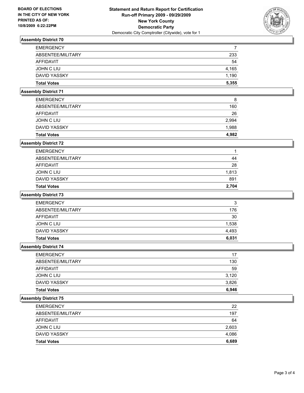

# **Assembly District 70**

| <b>EMERGENCY</b>   | 7     |
|--------------------|-------|
| ABSENTEE/MILITARY  | 233   |
| AFFIDAVIT          | 54    |
| JOHN C LIU         | 4.165 |
| DAVID YASSKY       | 1.190 |
| <b>Total Votes</b> | 5,355 |

## **Assembly District 71**

| <b>Total Votes</b> | 4.982 |
|--------------------|-------|
| DAVID YASSKY       | 1.988 |
| JOHN C LIU         | 2,994 |
| AFFIDAVIT          | 26    |
| ABSENTEE/MILITARY  | 160   |
| <b>EMERGENCY</b>   | 8     |

## **Assembly District 72**

| <b>Total Votes</b> | 2.704 |
|--------------------|-------|
| DAVID YASSKY       | 891   |
| JOHN C LIU         | 1,813 |
| <b>AFFIDAVIT</b>   | 28    |
| ABSENTEE/MILITARY  | 44    |
| <b>EMERGENCY</b>   | 1     |

#### **Assembly District 73**

| <b>Total Votes</b> | 6.031 |
|--------------------|-------|
| DAVID YASSKY       | 4,493 |
| JOHN C LIU         | 1,538 |
| AFFIDAVIT          | 30    |
| ABSENTEE/MILITARY  | 176   |
| <b>EMERGENCY</b>   | 3     |

## **Assembly District 74**

| <b>EMERGENCY</b>    | 17    |
|---------------------|-------|
| ABSENTEE/MILITARY   | 130   |
| <b>AFFIDAVIT</b>    | 59    |
| JOHN C LIU          | 3.120 |
| <b>DAVID YASSKY</b> | 3,826 |
| <b>Total Votes</b>  | 6,946 |

#### **Assembly District 75**

| <b>Total Votes</b> | 6,689 |
|--------------------|-------|
| DAVID YASSKY       | 4,086 |
| JOHN C LIU         | 2,603 |
| AFFIDAVIT          | 64    |
| ABSENTEE/MILITARY  | 197   |
| <b>EMERGENCY</b>   | 22    |